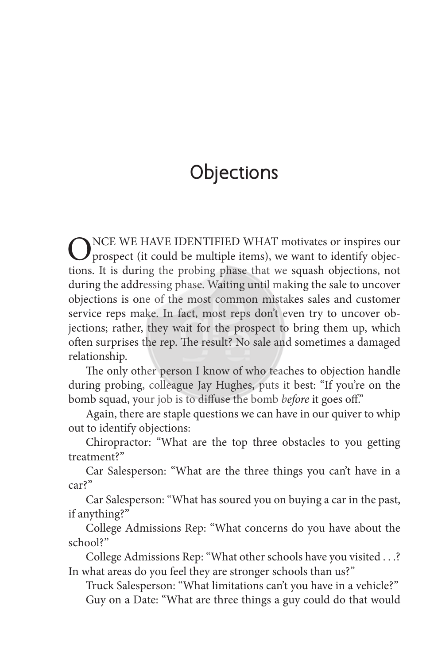## **Objections**

ONCE WE HAVE IDENTIFIED WHAT motivates or inspires our prospect (it could be multiple items), we want to identify objection tions. It is during the probing phase that we squash objections, not during the addressing phase. Waiting until making the sale to uncover objections is one of the most common mistakes sales and customer service reps make. In fact, most reps don't even try to uncover objections; rather, they wait for the prospect to bring them up, which often surprises the rep. The result? No sale and sometimes a damaged relationship.

The only other person I know of who teaches to objection handle during probing, colleague Jay Hughes, puts it best: "If you're on the bomb squad, your job is to diffuse the bomb *before* it goes off."

Again, there are staple questions we can have in our quiver to whip out to identify objections:

Chiropractor: "What are the top three obstacles to you getting treatment?"

Car Salesperson: "What are the three things you can't have in a car?"

Car Salesperson: "What has soured you on buying a car in the past, if anything?"

College Admissions Rep: "What concerns do you have about the school?"

College Admissions Rep: "What other schools have you visited . . .? In what areas do you feel they are stronger schools than us?"

Truck Salesperson: "What limitations can't you have in a vehicle?" Guy on a Date: "What are three things a guy could do that would